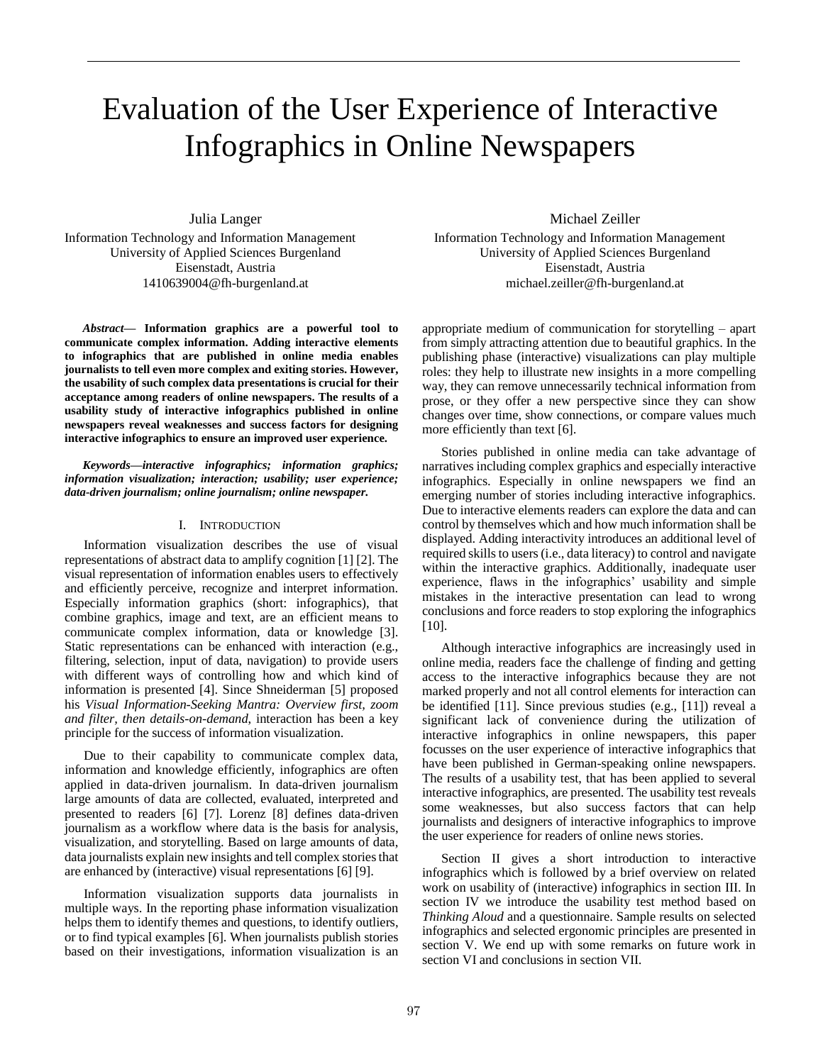# Evaluation of the User Experience of Interactive Infographics in Online Newspapers

Julia Langer Information Technology and Information Management University of Applied Sciences Burgenland Eisenstadt, Austria 1410639004@fh-burgenland.at

*Abstract***— Information graphics are a powerful tool to communicate complex information. Adding interactive elements to infographics that are published in online media enables journalists to tell even more complex and exiting stories. However, the usability of such complex data presentations is crucial for their acceptance among readers of online newspapers. The results of a usability study of interactive infographics published in online newspapers reveal weaknesses and success factors for designing interactive infographics to ensure an improved user experience.**

*Keywords—interactive infographics; information graphics; information visualization; interaction; usability; user experience; data-driven journalism; online journalism; online newspaper.*

# I. INTRODUCTION

Information visualization describes the use of visual representations of abstract data to amplify cognition [1] [2]. The visual representation of information enables users to effectively and efficiently perceive, recognize and interpret information. Especially information graphics (short: infographics), that combine graphics, image and text, are an efficient means to communicate complex information, data or knowledge [3]. Static representations can be enhanced with interaction (e.g., filtering, selection, input of data, navigation) to provide users with different ways of controlling how and which kind of information is presented [4]. Since Shneiderman [5] proposed his *Visual Information-Seeking Mantra: Overview first, zoom and filter, then details-on-demand*, interaction has been a key principle for the success of information visualization.

Due to their capability to communicate complex data, information and knowledge efficiently, infographics are often applied in data-driven journalism. In data-driven journalism large amounts of data are collected, evaluated, interpreted and presented to readers [6] [7]. Lorenz [8] defines data-driven journalism as a workflow where data is the basis for analysis, visualization, and storytelling. Based on large amounts of data, data journalists explain new insights and tell complex stories that are enhanced by (interactive) visual representations [6] [9].

Information visualization supports data journalists in multiple ways. In the reporting phase information visualization helps them to identify themes and questions, to identify outliers, or to find typical examples [6]. When journalists publish stories based on their investigations, information visualization is an

Michael Zeiller Information Technology and Information Management University of Applied Sciences Burgenland Eisenstadt, Austria michael.zeiller@fh-burgenland.at

appropriate medium of communication for storytelling – apart from simply attracting attention due to beautiful graphics. In the publishing phase (interactive) visualizations can play multiple roles: they help to illustrate new insights in a more compelling way, they can remove unnecessarily technical information from prose, or they offer a new perspective since they can show changes over time, show connections, or compare values much more efficiently than text [6].

Stories published in online media can take advantage of narratives including complex graphics and especially interactive infographics. Especially in online newspapers we find an emerging number of stories including interactive infographics. Due to interactive elements readers can explore the data and can control by themselves which and how much information shall be displayed. Adding interactivity introduces an additional level of required skills to users (i.e., data literacy) to control and navigate within the interactive graphics. Additionally, inadequate user experience, flaws in the infographics' usability and simple mistakes in the interactive presentation can lead to wrong conclusions and force readers to stop exploring the infographics [10].

Although interactive infographics are increasingly used in online media, readers face the challenge of finding and getting access to the interactive infographics because they are not marked properly and not all control elements for interaction can be identified [11]. Since previous studies (e.g., [11]) reveal a significant lack of convenience during the utilization of interactive infographics in online newspapers, this paper focusses on the user experience of interactive infographics that have been published in German-speaking online newspapers. The results of a usability test, that has been applied to several interactive infographics, are presented. The usability test reveals some weaknesses, but also success factors that can help journalists and designers of interactive infographics to improve the user experience for readers of online news stories.

Section II gives a short introduction to interactive infographics which is followed by a brief overview on related work on usability of (interactive) infographics in section III. In section IV we introduce the usability test method based on *Thinking Aloud* and a questionnaire. Sample results on selected infographics and selected ergonomic principles are presented in section V. We end up with some remarks on future work in section VI and conclusions in section VII.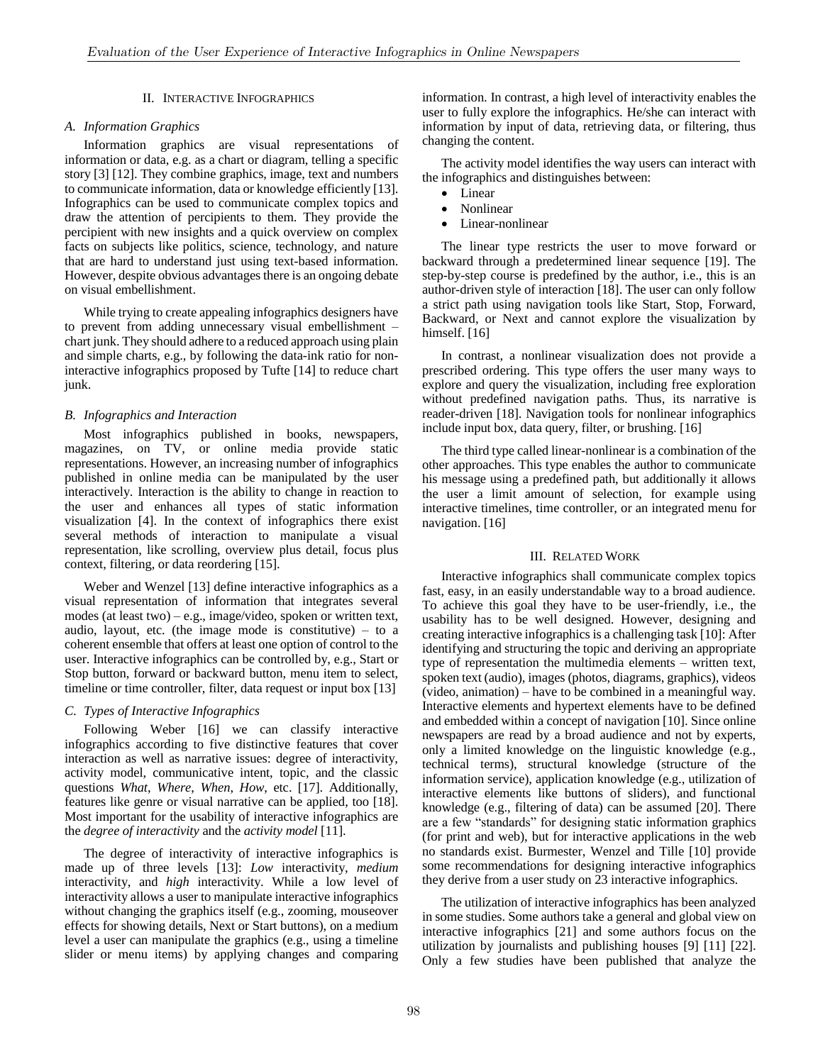## II. INTERACTIVE INFOGRAPHICS

# *A. Information Graphics*

Information graphics are visual representations of information or data, e.g. as a chart or diagram, telling a specific story [3] [12]. They combine graphics, image, text and numbers to communicate information, data or knowledge efficiently [13]. Infographics can be used to communicate complex topics and draw the attention of percipients to them. They provide the percipient with new insights and a quick overview on complex facts on subjects like politics, science, technology, and nature that are hard to understand just using text-based information. However, despite obvious advantages there is an ongoing debate on visual embellishment.

While trying to create appealing infographics designers have to prevent from adding unnecessary visual embellishment – chart junk. They should adhere to a reduced approach using plain and simple charts, e.g., by following the data-ink ratio for noninteractive infographics proposed by Tufte [14] to reduce chart junk.

# *B. Infographics and Interaction*

Most infographics published in books, newspapers, magazines, on TV, or online media provide static representations. However, an increasing number of infographics published in online media can be manipulated by the user interactively. Interaction is the ability to change in reaction to the user and enhances all types of static information visualization [4]. In the context of infographics there exist several methods of interaction to manipulate a visual representation, like scrolling, overview plus detail, focus plus context, filtering, or data reordering [15].

Weber and Wenzel [13] define interactive infographics as a visual representation of information that integrates several modes (at least two) – e.g., image/video, spoken or written text, audio, layout, etc. (the image mode is constitutive)  $-$  to a coherent ensemble that offers at least one option of control to the user. Interactive infographics can be controlled by, e.g., Start or Stop button, forward or backward button, menu item to select, timeline or time controller, filter, data request or input box [13]

# *C. Types of Interactive Infographics*

Following Weber [16] we can classify interactive infographics according to five distinctive features that cover interaction as well as narrative issues: degree of interactivity, activity model, communicative intent, topic, and the classic questions *What*, *Where*, *When*, *How*, etc. [17]. Additionally, features like genre or visual narrative can be applied, too [18]. Most important for the usability of interactive infographics are the *degree of interactivity* and the *activity model* [11].

The degree of interactivity of interactive infographics is made up of three levels [13]: *Low* interactivity, *medium* interactivity, and *high* interactivity. While a low level of interactivity allows a user to manipulate interactive infographics without changing the graphics itself (e.g., zooming, mouseover effects for showing details, Next or Start buttons), on a medium level a user can manipulate the graphics (e.g., using a timeline slider or menu items) by applying changes and comparing information. In contrast, a high level of interactivity enables the user to fully explore the infographics. He/she can interact with information by input of data, retrieving data, or filtering, thus changing the content.

The activity model identifies the way users can interact with the infographics and distinguishes between:

- Linear
- Nonlinear
- Linear-nonlinear

The linear type restricts the user to move forward or backward through a predetermined linear sequence [19]. The step-by-step course is predefined by the author, i.e., this is an author-driven style of interaction [18]. The user can only follow a strict path using navigation tools like Start, Stop, Forward, Backward, or Next and cannot explore the visualization by himself. [16]

In contrast, a nonlinear visualization does not provide a prescribed ordering. This type offers the user many ways to explore and query the visualization, including free exploration without predefined navigation paths. Thus, its narrative is reader-driven [18]. Navigation tools for nonlinear infographics include input box, data query, filter, or brushing. [16]

The third type called linear-nonlinear is a combination of the other approaches. This type enables the author to communicate his message using a predefined path, but additionally it allows the user a limit amount of selection, for example using interactive timelines, time controller, or an integrated menu for navigation. [16]

## III. RELATED WORK

Interactive infographics shall communicate complex topics fast, easy, in an easily understandable way to a broad audience. To achieve this goal they have to be user-friendly, i.e., the usability has to be well designed. However, designing and creating interactive infographics is a challenging task [10]: After identifying and structuring the topic and deriving an appropriate type of representation the multimedia elements – written text, spoken text (audio), images (photos, diagrams, graphics), videos (video, animation) – have to be combined in a meaningful way. Interactive elements and hypertext elements have to be defined and embedded within a concept of navigation [10]. Since online newspapers are read by a broad audience and not by experts, only a limited knowledge on the linguistic knowledge (e.g., technical terms), structural knowledge (structure of the information service), application knowledge (e.g., utilization of interactive elements like buttons of sliders), and functional knowledge (e.g., filtering of data) can be assumed [20]. There are a few "standards" for designing static information graphics (for print and web), but for interactive applications in the web no standards exist. Burmester, Wenzel and Tille [10] provide some recommendations for designing interactive infographics they derive from a user study on 23 interactive infographics.

The utilization of interactive infographics has been analyzed in some studies. Some authors take a general and global view on interactive infographics [21] and some authors focus on the utilization by journalists and publishing houses [9] [11] [22]. Only a few studies have been published that analyze the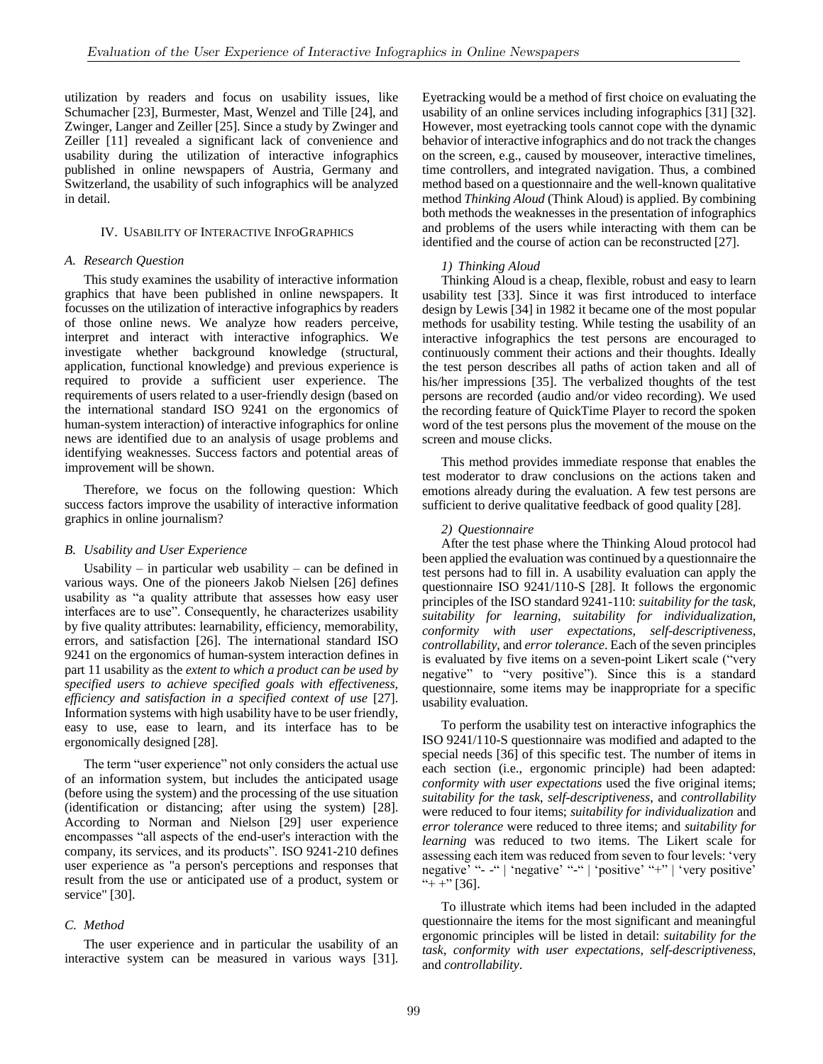utilization by readers and focus on usability issues, like Schumacher [23], Burmester, Mast, Wenzel and Tille [24], and Zwinger, Langer and Zeiller [25]. Since a study by Zwinger and Zeiller [11] revealed a significant lack of convenience and usability during the utilization of interactive infographics published in online newspapers of Austria, Germany and Switzerland, the usability of such infographics will be analyzed in detail.

#### IV. USABILITY OF INTERACTIVE INFOGRAPHICS

#### *A. Research Question*

This study examines the usability of interactive information graphics that have been published in online newspapers. It focusses on the utilization of interactive infographics by readers of those online news. We analyze how readers perceive, interpret and interact with interactive infographics. We investigate whether background knowledge (structural, application, functional knowledge) and previous experience is required to provide a sufficient user experience. The requirements of users related to a user-friendly design (based on the international standard ISO 9241 on the ergonomics of human-system interaction) of interactive infographics for online news are identified due to an analysis of usage problems and identifying weaknesses. Success factors and potential areas of improvement will be shown.

Therefore, we focus on the following question: Which success factors improve the usability of interactive information graphics in online journalism?

#### *B. Usability and User Experience*

Usability – in particular web usability – can be defined in various ways. One of the pioneers Jakob Nielsen [26] defines usability as "a quality attribute that assesses how easy user interfaces are to use". Consequently, he characterizes usability by five quality attributes: learnability, efficiency, memorability, errors, and satisfaction [26]. The international standard ISO 9241 on the ergonomics of human-system interaction defines in part 11 usability as the *extent to which a product can be used by specified users to achieve specified goals with effectiveness, efficiency and satisfaction in a specified context of use* [27]. Information systems with high usability have to be user friendly, easy to use, ease to learn, and its interface has to be ergonomically designed [28].

The term "user experience" not only considers the actual use of an information system, but includes the anticipated usage (before using the system) and the processing of the use situation (identification or distancing; after using the system) [28]. According to Norman and Nielson [29] user experience encompasses "all aspects of the end-user's interaction with the company, its services, and its products". ISO 9241-210 defines user experience as "a person's perceptions and responses that result from the use or anticipated use of a product, system or service" [30].

#### *C. Method*

The user experience and in particular the usability of an interactive system can be measured in various ways [31]. Eyetracking would be a method of first choice on evaluating the usability of an online services including infographics [31] [32]. However, most eyetracking tools cannot cope with the dynamic behavior of interactive infographics and do not track the changes on the screen, e.g., caused by mouseover, interactive timelines, time controllers, and integrated navigation. Thus, a combined method based on a questionnaire and the well-known qualitative method *Thinking Aloud* (Think Aloud) is applied. By combining both methods the weaknesses in the presentation of infographics and problems of the users while interacting with them can be identified and the course of action can be reconstructed [27].

#### *1) Thinking Aloud*

Thinking Aloud is a cheap, flexible, robust and easy to learn usability test [33]. Since it was first introduced to interface design by Lewis [34] in 1982 it became one of the most popular methods for usability testing. While testing the usability of an interactive infographics the test persons are encouraged to continuously comment their actions and their thoughts. Ideally the test person describes all paths of action taken and all of his/her impressions [35]. The verbalized thoughts of the test persons are recorded (audio and/or video recording). We used the recording feature of QuickTime Player to record the spoken word of the test persons plus the movement of the mouse on the screen and mouse clicks.

This method provides immediate response that enables the test moderator to draw conclusions on the actions taken and emotions already during the evaluation. A few test persons are sufficient to derive qualitative feedback of good quality [28].

#### *2) Questionnaire*

After the test phase where the Thinking Aloud protocol had been applied the evaluation was continued by a questionnaire the test persons had to fill in. A usability evaluation can apply the questionnaire ISO 9241/110-S [28]. It follows the ergonomic principles of the ISO standard 9241-110: *suitability for the task*, *suitability for learning*, *suitability for individualization*, *conformity with user expectations*, *self-descriptiveness*, *controllability*, and *error tolerance*. Each of the seven principles is evaluated by five items on a seven-point Likert scale ("very negative" to "very positive"). Since this is a standard questionnaire, some items may be inappropriate for a specific usability evaluation.

To perform the usability test on interactive infographics the ISO 9241/110-S questionnaire was modified and adapted to the special needs [36] of this specific test. The number of items in each section (i.e., ergonomic principle) had been adapted: *conformity with user expectations* used the five original items; *suitability for the task*, *self-descriptiveness*, and *controllability* were reduced to four items; *suitability for individualization* and *error tolerance* were reduced to three items; and *suitability for learning* was reduced to two items. The Likert scale for assessing each item was reduced from seven to four levels: 'very negative' "- -" | 'negative' "-" | 'positive' "+" | 'very positive' "+ +"  $[36]$ .

To illustrate which items had been included in the adapted questionnaire the items for the most significant and meaningful ergonomic principles will be listed in detail: *suitability for the task*, *conformity with user expectations*, *self-descriptiveness*, and *controllability*.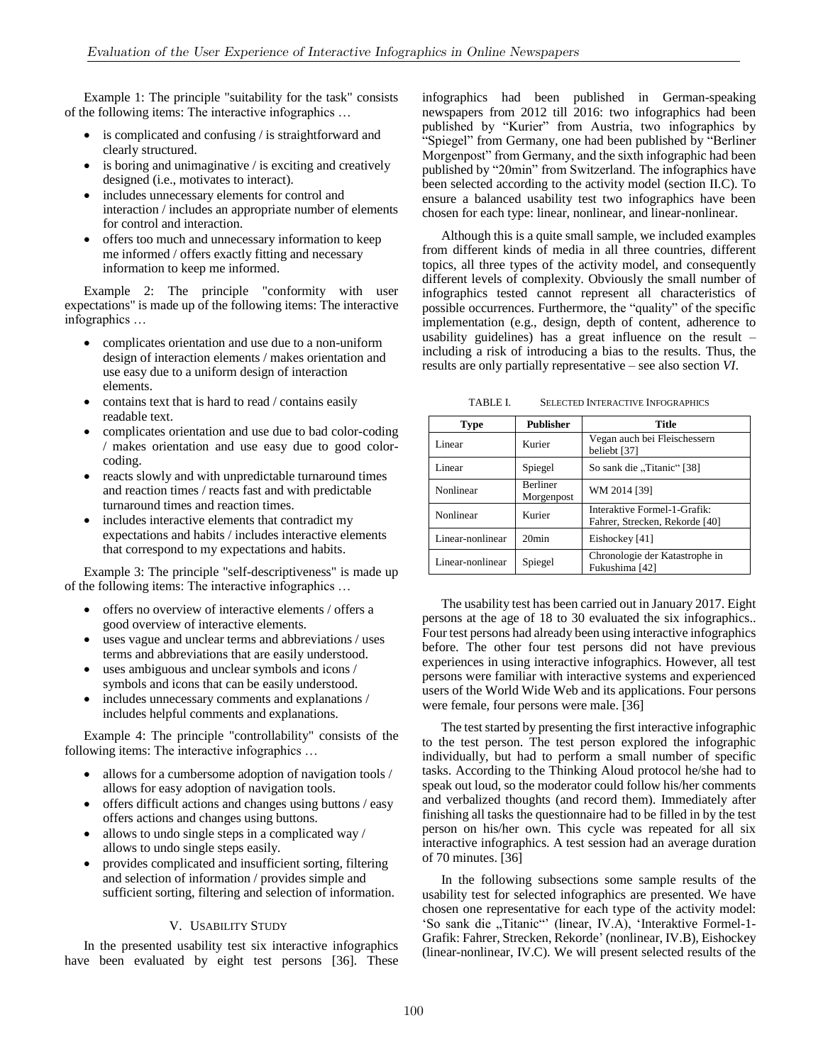Example 1: The principle "suitability for the task" consists of the following items: The interactive infographics …

- is complicated and confusing / is straightforward and clearly structured.
- $\bullet$  is boring and unimaginative / is exciting and creatively designed (i.e., motivates to interact).
- includes unnecessary elements for control and interaction / includes an appropriate number of elements for control and interaction.
- offers too much and unnecessary information to keep me informed / offers exactly fitting and necessary information to keep me informed.

Example 2: The principle "conformity with user expectations" is made up of the following items: The interactive infographics …

- complicates orientation and use due to a non-uniform design of interaction elements / makes orientation and use easy due to a uniform design of interaction elements.
- contains text that is hard to read / contains easily readable text.
- complicates orientation and use due to bad color-coding / makes orientation and use easy due to good colorcoding.
- reacts slowly and with unpredictable turnaround times and reaction times / reacts fast and with predictable turnaround times and reaction times.
- includes interactive elements that contradict my expectations and habits / includes interactive elements that correspond to my expectations and habits.

Example 3: The principle "self-descriptiveness" is made up of the following items: The interactive infographics …

- offers no overview of interactive elements / offers a good overview of interactive elements.
- uses vague and unclear terms and abbreviations / uses terms and abbreviations that are easily understood.
- uses ambiguous and unclear symbols and icons / symbols and icons that can be easily understood.
- includes unnecessary comments and explanations / includes helpful comments and explanations.

Example 4: The principle "controllability" consists of the following items: The interactive infographics …

- allows for a cumbersome adoption of navigation tools / allows for easy adoption of navigation tools.
- offers difficult actions and changes using buttons / easy offers actions and changes using buttons.
- allows to undo single steps in a complicated way / allows to undo single steps easily.
- provides complicated and insufficient sorting, filtering and selection of information / provides simple and sufficient sorting, filtering and selection of information.

# V. USABILITY STUDY

In the presented usability test six interactive infographics have been evaluated by eight test persons [36]. These infographics had been published in German-speaking newspapers from 2012 till 2016: two infographics had been published by "Kurier" from Austria, two infographics by "Spiegel" from Germany, one had been published by "Berliner Morgenpost" from Germany, and the sixth infographic had been published by "20min" from Switzerland. The infographics have been selected according to the activity model (section II.C). To ensure a balanced usability test two infographics have been chosen for each type: linear, nonlinear, and linear-nonlinear.

Although this is a quite small sample, we included examples from different kinds of media in all three countries, different topics, all three types of the activity model, and consequently different levels of complexity. Obviously the small number of infographics tested cannot represent all characteristics of possible occurrences. Furthermore, the "quality" of the specific implementation (e.g., design, depth of content, adherence to usability guidelines) has a great influence on the result  $$ including a risk of introducing a bias to the results. Thus, the results are only partially representative – see also section *VI*.

TABLE I. SELECTED INTERACTIVE INFOGRAPHICS

| <b>Type</b>      | <b>Publisher</b>              | Title                                                          |
|------------------|-------------------------------|----------------------------------------------------------------|
| Linear           | Kurier                        | Vegan auch bei Fleischessern<br>beliebt [37]                   |
| Linear           | Spiegel                       | [38] "So sank die "Titanic"                                    |
| Nonlinear        | <b>Berliner</b><br>Morgenpost | WM 2014 [39]                                                   |
| Nonlinear        | Kurier                        | Interaktive Formel-1-Grafik:<br>Fahrer, Strecken, Rekorde [40] |
| Linear-nonlinear | 20 <sub>min</sub>             | Eishockey [41]                                                 |
| Linear-nonlinear | Spiegel                       | Chronologie der Katastrophe in<br>Fukushima [42]               |

The usability test has been carried out in January 2017. Eight persons at the age of 18 to 30 evaluated the six infographics.. Four test persons had already been using interactive infographics before. The other four test persons did not have previous experiences in using interactive infographics. However, all test persons were familiar with interactive systems and experienced users of the World Wide Web and its applications. Four persons were female, four persons were male. [36]

The test started by presenting the first interactive infographic to the test person. The test person explored the infographic individually, but had to perform a small number of specific tasks. According to the Thinking Aloud protocol he/she had to speak out loud, so the moderator could follow his/her comments and verbalized thoughts (and record them). Immediately after finishing all tasks the questionnaire had to be filled in by the test person on his/her own. This cycle was repeated for all six interactive infographics. A test session had an average duration of 70 minutes. [36]

In the following subsections some sample results of the usability test for selected infographics are presented. We have chosen one representative for each type of the activity model: 'So sank die "Titanic"' (linear, IV.A), 'Interaktive Formel-1-Grafik: Fahrer, Strecken, Rekorde' (nonlinear, IV.B), Eishockey (linear-nonlinear, IV.C). We will present selected results of the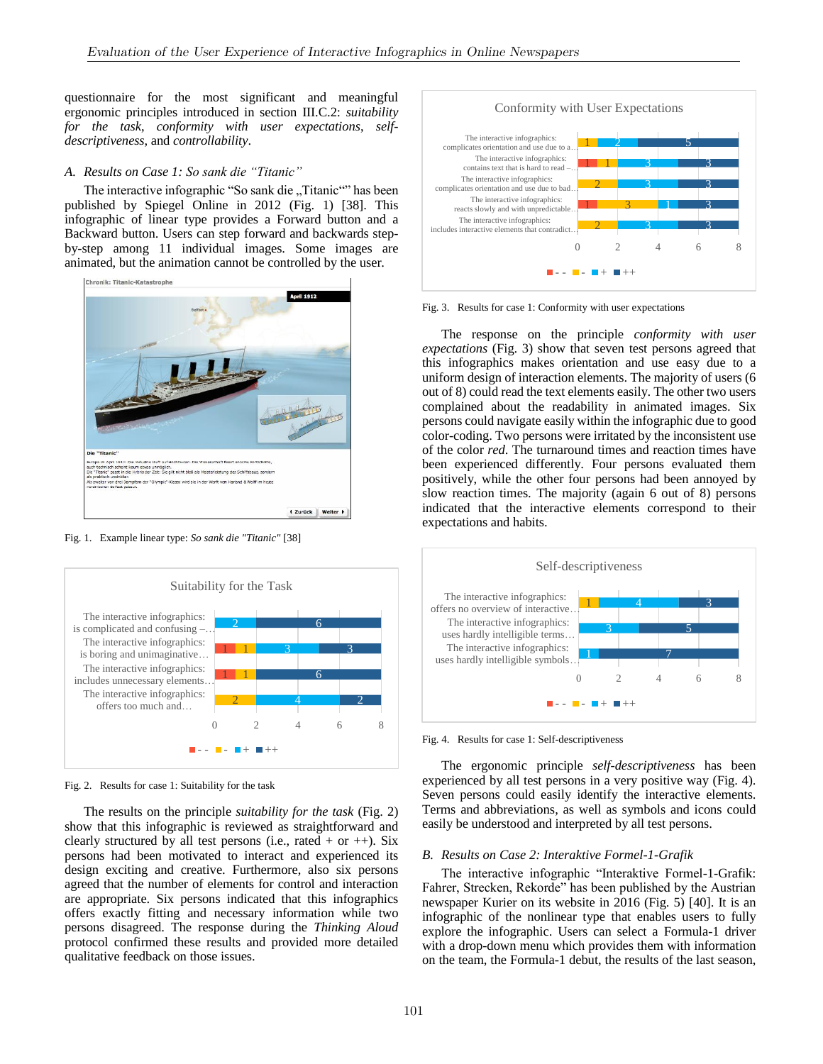questionnaire for the most significant and meaningful ergonomic principles introduced in section III.C.2: *suitability for the task*, *conformity with user expectations*, *selfdescriptiveness*, and *controllability*.

# *A. Results on Case 1: So sank die "Titanic"*

The interactive infographic "So sank die "Titanic"" has been published by Spiegel Online in 2012 (Fig. 1) [38]. This infographic of linear type provides a Forward button and a Backward button. Users can step forward and backwards stepby-step among 11 individual images. Some images are animated, but the animation cannot be controlled by the user.



Fig. 1. Example linear type: *So sank die "Titanic"* [38]



Fig. 2. Results for case 1: Suitability for the task

The results on the principle *suitability for the task* (Fig. 2) show that this infographic is reviewed as straightforward and clearly structured by all test persons (i.e., rated  $+$  or  $++$ ). Six persons had been motivated to interact and experienced its design exciting and creative. Furthermore, also six persons agreed that the number of elements for control and interaction are appropriate. Six persons indicated that this infographics offers exactly fitting and necessary information while two persons disagreed. The response during the *Thinking Aloud* protocol confirmed these results and provided more detailed qualitative feedback on those issues.



Fig. 3. Results for case 1: Conformity with user expectations

The response on the principle *conformity with user expectations* (Fig. 3) show that seven test persons agreed that this infographics makes orientation and use easy due to a uniform design of interaction elements. The majority of users (6 out of 8) could read the text elements easily. The other two users complained about the readability in animated images. Six persons could navigate easily within the infographic due to good color-coding. Two persons were irritated by the inconsistent use of the color *red*. The turnaround times and reaction times have been experienced differently. Four persons evaluated them positively, while the other four persons had been annoyed by slow reaction times. The majority (again 6 out of 8) persons indicated that the interactive elements correspond to their expectations and habits.



Fig. 4. Results for case 1: Self-descriptiveness

The ergonomic principle *self-descriptiveness* has been experienced by all test persons in a very positive way (Fig. 4). Seven persons could easily identify the interactive elements. Terms and abbreviations, as well as symbols and icons could easily be understood and interpreted by all test persons.

#### *B. Results on Case 2: Interaktive Formel-1-Grafik*

The interactive infographic "Interaktive Formel-1-Grafik: Fahrer, Strecken, Rekorde" has been published by the Austrian newspaper Kurier on its website in 2016 (Fig. 5) [40]. It is an infographic of the nonlinear type that enables users to fully explore the infographic. Users can select a Formula-1 driver with a drop-down menu which provides them with information on the team, the Formula-1 debut, the results of the last season,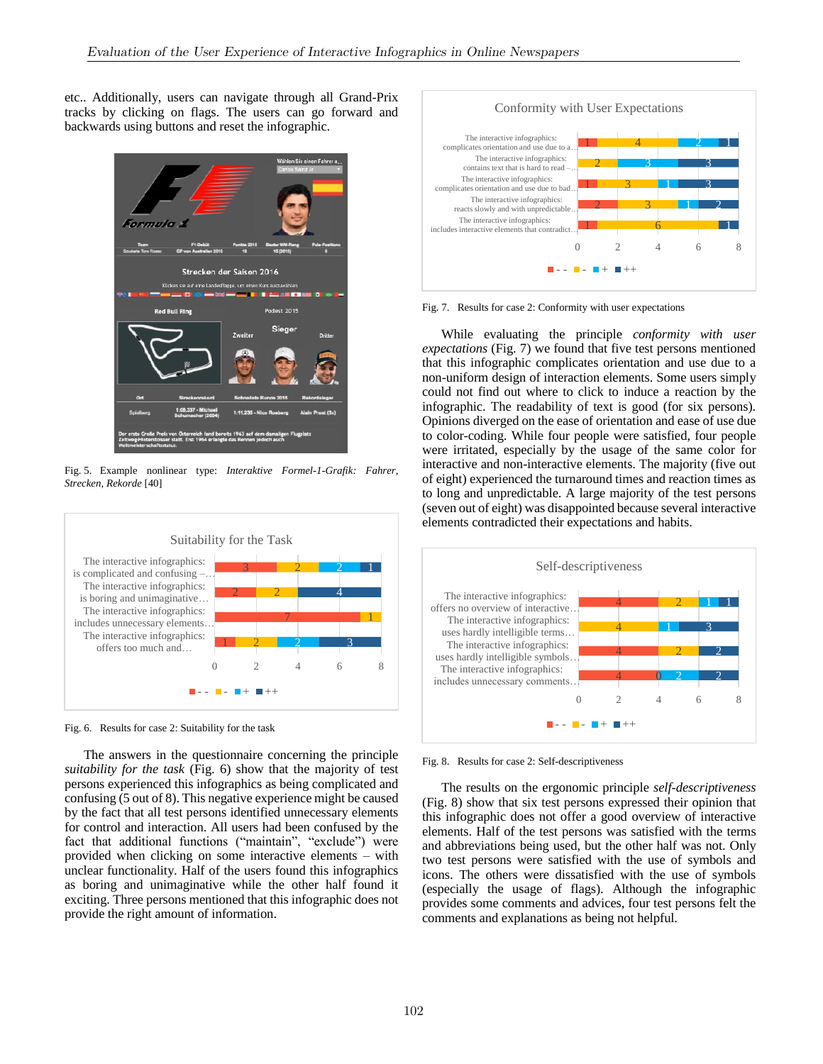etc.. Additionally, users can navigate through all Grand-Prix tracks by clicking on flags. The users can go forward and backwards using buttons and reset the infographic.



Fig. 5. Example nonlinear type: *Interaktive Formel-1-Grafik: Fahrer, Strecken, Rekorde* [40]



Fig. 6. Results for case 2: Suitability for the task

The answers in the questionnaire concerning the principle *suitability for the task* (Fig. 6) show that the majority of test persons experienced this infographics as being complicated and confusing (5 out of 8). This negative experience might be caused by the fact that all test persons identified unnecessary elements for control and interaction. All users had been confused by the fact that additional functions ("maintain", "exclude") were provided when clicking on some interactive elements – with unclear functionality. Half of the users found this infographics as boring and unimaginative while the other half found it exciting. Three persons mentioned that this infographic does not provide the right amount of information.



Fig. 7. Results for case 2: Conformity with user expectations

While evaluating the principle *conformity with user expectations* (Fig. 7) we found that five test persons mentioned that this infographic complicates orientation and use due to a non-uniform design of interaction elements. Some users simply could not find out where to click to induce a reaction by the infographic. The readability of text is good (for six persons). Opinions diverged on the ease of orientation and ease of use due to color-coding. While four people were satisfied, four people were irritated, especially by the usage of the same color for interactive and non-interactive elements. The majority (five out of eight) experienced the turnaround times and reaction times as to long and unpredictable. A large majority of the test persons (seven out of eight) was disappointed because several interactive elements contradicted their expectations and habits.



Fig. 8. Results for case 2: Self-descriptiveness

The results on the ergonomic principle *self-descriptiveness* (Fig. 8) show that six test persons expressed their opinion that this infographic does not offer a good overview of interactive elements. Half of the test persons was satisfied with the terms and abbreviations being used, but the other half was not. Only two test persons were satisfied with the use of symbols and icons. The others were dissatisfied with the use of symbols (especially the usage of flags). Although the infographic provides some comments and advices, four test persons felt the comments and explanations as being not helpful.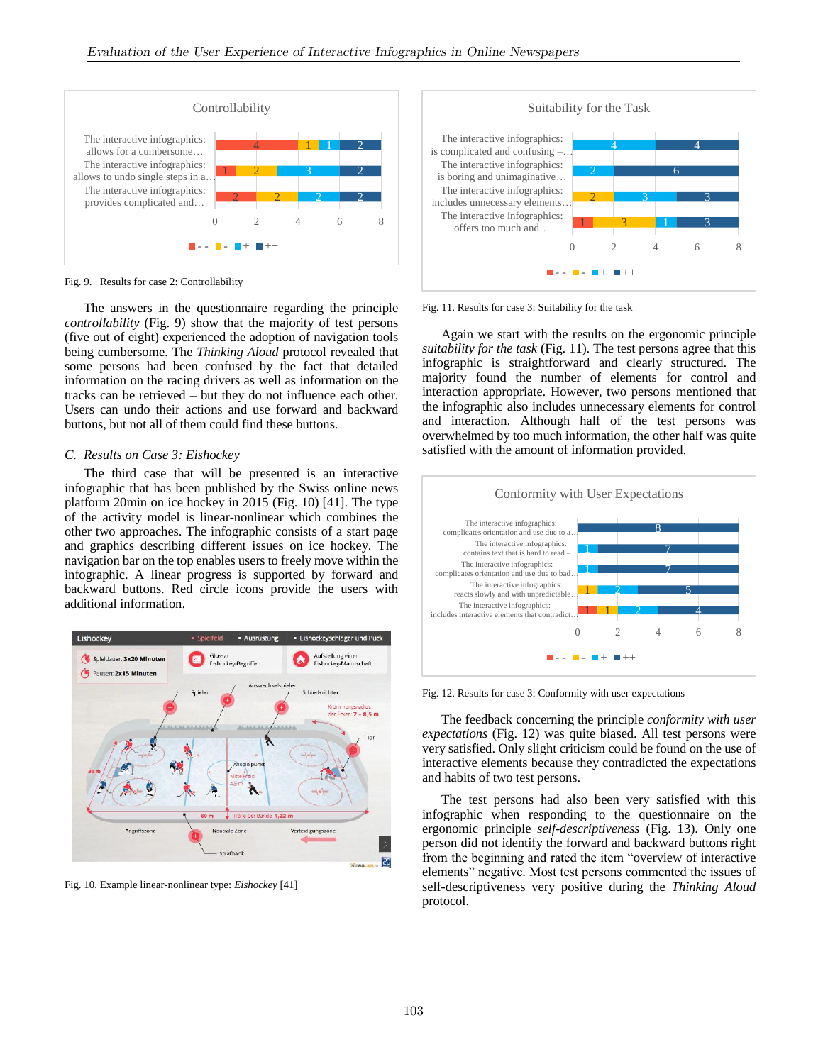

Fig. 9. Results for case 2: Controllability

The answers in the questionnaire regarding the principle *controllability* (Fig. 9) show that the majority of test persons (five out of eight) experienced the adoption of navigation tools being cumbersome. The *Thinking Aloud* protocol revealed that some persons had been confused by the fact that detailed information on the racing drivers as well as information on the tracks can be retrieved – but they do not influence each other. Users can undo their actions and use forward and backward buttons, but not all of them could find these buttons.

#### *C. Results on Case 3: Eishockey*

The third case that will be presented is an interactive infographic that has been published by the Swiss online news platform 20min on ice hockey in 2015 (Fig. 10) [41]. The type of the activity model is linear-nonlinear which combines the other two approaches. The infographic consists of a start page and graphics describing different issues on ice hockey. The navigation bar on the top enables users to freely move within the infographic. A linear progress is supported by forward and backward buttons. Red circle icons provide the users with additional information.



Fig. 10. Example linear-nonlinear type: *Eishockey* [41]



Fig. 11. Results for case 3: Suitability for the task

Again we start with the results on the ergonomic principle *suitability for the task* (Fig. 11). The test persons agree that this infographic is straightforward and clearly structured. The majority found the number of elements for control and interaction appropriate. However, two persons mentioned that the infographic also includes unnecessary elements for control and interaction. Although half of the test persons was overwhelmed by too much information, the other half was quite satisfied with the amount of information provided.



Fig. 12. Results for case 3: Conformity with user expectations

The feedback concerning the principle *conformity with user expectations* (Fig. 12) was quite biased. All test persons were very satisfied. Only slight criticism could be found on the use of interactive elements because they contradicted the expectations and habits of two test persons.

The test persons had also been very satisfied with this infographic when responding to the questionnaire on the ergonomic principle *self-descriptiveness* (Fig. 13). Only one person did not identify the forward and backward buttons right from the beginning and rated the item "overview of interactive elements" negative. Most test persons commented the issues of self-descriptiveness very positive during the *Thinking Aloud* protocol.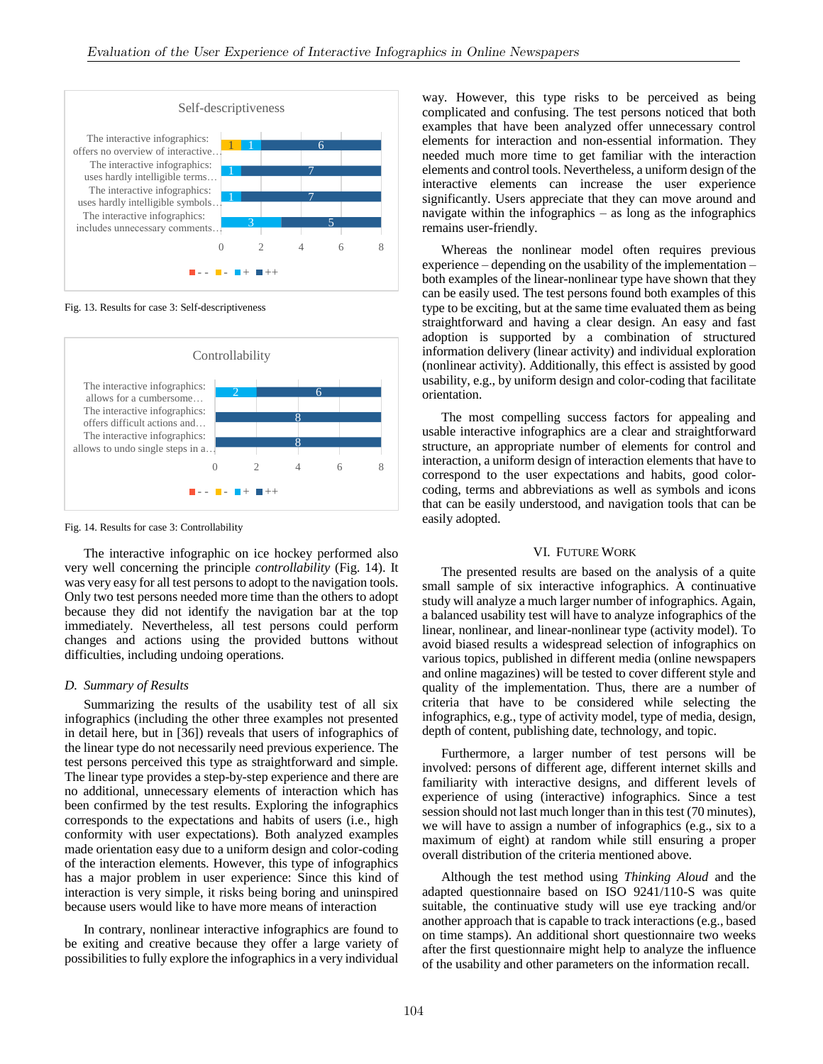

Fig. 13. Results for case 3: Self-descriptiveness



Fig. 14. Results for case 3: Controllability

The interactive infographic on ice hockey performed also very well concerning the principle *controllability* (Fig. 14). It was very easy for all test persons to adopt to the navigation tools. Only two test persons needed more time than the others to adopt because they did not identify the navigation bar at the top immediately. Nevertheless, all test persons could perform changes and actions using the provided buttons without difficulties, including undoing operations.

#### *D. Summary of Results*

Summarizing the results of the usability test of all six infographics (including the other three examples not presented in detail here, but in [36]) reveals that users of infographics of the linear type do not necessarily need previous experience. The test persons perceived this type as straightforward and simple. The linear type provides a step-by-step experience and there are no additional, unnecessary elements of interaction which has been confirmed by the test results. Exploring the infographics corresponds to the expectations and habits of users (i.e., high conformity with user expectations). Both analyzed examples made orientation easy due to a uniform design and color-coding of the interaction elements. However, this type of infographics has a major problem in user experience: Since this kind of interaction is very simple, it risks being boring and uninspired because users would like to have more means of interaction

In contrary, nonlinear interactive infographics are found to be exiting and creative because they offer a large variety of possibilities to fully explore the infographics in a very individual way. However, this type risks to be perceived as being complicated and confusing. The test persons noticed that both examples that have been analyzed offer unnecessary control elements for interaction and non-essential information. They needed much more time to get familiar with the interaction elements and control tools. Nevertheless, a uniform design of the interactive elements can increase the user experience significantly. Users appreciate that they can move around and navigate within the infographics – as long as the infographics remains user-friendly.

Whereas the nonlinear model often requires previous experience – depending on the usability of the implementation – both examples of the linear-nonlinear type have shown that they can be easily used. The test persons found both examples of this type to be exciting, but at the same time evaluated them as being straightforward and having a clear design. An easy and fast adoption is supported by a combination of structured information delivery (linear activity) and individual exploration (nonlinear activity). Additionally, this effect is assisted by good usability, e.g., by uniform design and color-coding that facilitate orientation.

The most compelling success factors for appealing and usable interactive infographics are a clear and straightforward structure, an appropriate number of elements for control and interaction, a uniform design of interaction elements that have to correspond to the user expectations and habits, good colorcoding, terms and abbreviations as well as symbols and icons that can be easily understood, and navigation tools that can be easily adopted.

#### VI. FUTURE WORK

The presented results are based on the analysis of a quite small sample of six interactive infographics. A continuative study will analyze a much larger number of infographics. Again, a balanced usability test will have to analyze infographics of the linear, nonlinear, and linear-nonlinear type (activity model). To avoid biased results a widespread selection of infographics on various topics, published in different media (online newspapers and online magazines) will be tested to cover different style and quality of the implementation. Thus, there are a number of criteria that have to be considered while selecting the infographics, e.g., type of activity model, type of media, design, depth of content, publishing date, technology, and topic.

Furthermore, a larger number of test persons will be involved: persons of different age, different internet skills and familiarity with interactive designs, and different levels of experience of using (interactive) infographics. Since a test session should not last much longer than in this test (70 minutes), we will have to assign a number of infographics (e.g., six to a maximum of eight) at random while still ensuring a proper overall distribution of the criteria mentioned above.

Although the test method using *Thinking Aloud* and the adapted questionnaire based on ISO 9241/110-S was quite suitable, the continuative study will use eye tracking and/or another approach that is capable to track interactions (e.g., based on time stamps). An additional short questionnaire two weeks after the first questionnaire might help to analyze the influence of the usability and other parameters on the information recall.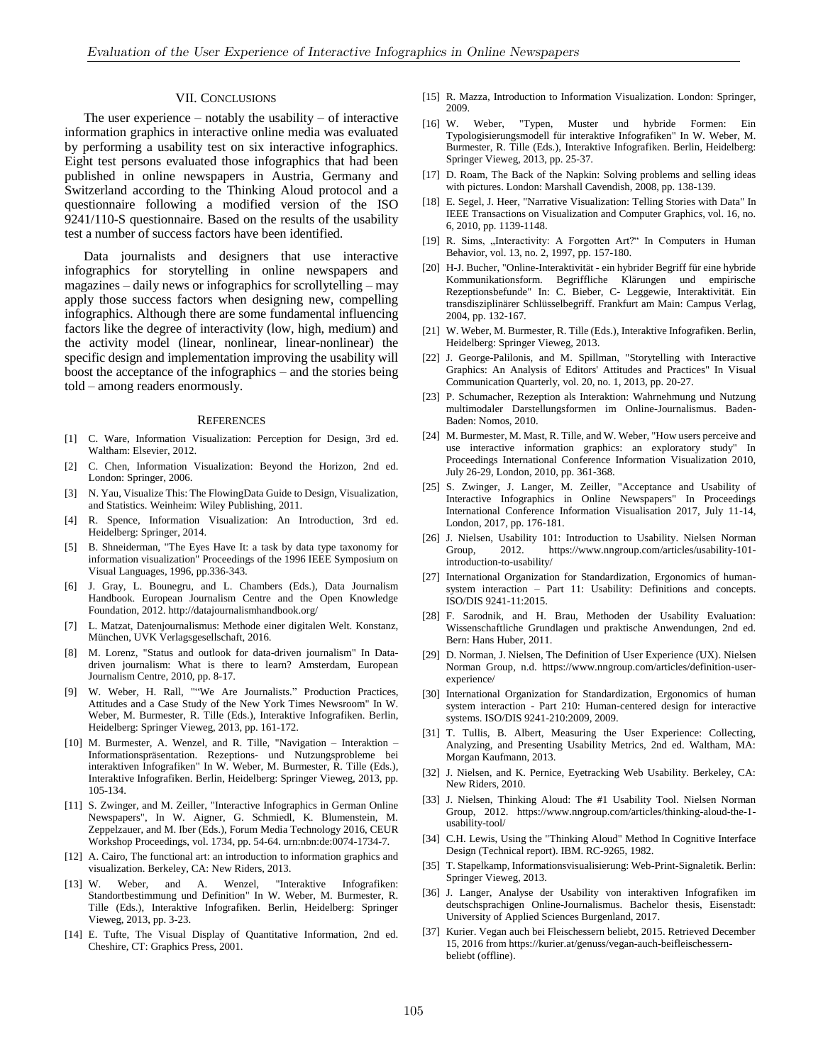#### VII. CONCLUSIONS

The user experience  $-$  notably the usability  $-$  of interactive information graphics in interactive online media was evaluated by performing a usability test on six interactive infographics. Eight test persons evaluated those infographics that had been published in online newspapers in Austria, Germany and Switzerland according to the Thinking Aloud protocol and a questionnaire following a modified version of the ISO 9241/110-S questionnaire. Based on the results of the usability test a number of success factors have been identified.

Data journalists and designers that use interactive infographics for storytelling in online newspapers and magazines – daily news or infographics for scrollytelling – may apply those success factors when designing new, compelling infographics. Although there are some fundamental influencing factors like the degree of interactivity (low, high, medium) and the activity model (linear, nonlinear, linear-nonlinear) the specific design and implementation improving the usability will boost the acceptance of the infographics – and the stories being told – among readers enormously.

#### **REFERENCES**

- [1] C. Ware, Information Visualization: Perception for Design, 3rd ed. Waltham: Elsevier, 2012.
- [2] C. Chen, Information Visualization: Beyond the Horizon, 2nd ed. London: Springer, 2006.
- [3] N. Yau, Visualize This: The FlowingData Guide to Design, Visualization, and Statistics. Weinheim: Wiley Publishing, 2011.
- [4] R. Spence, Information Visualization: An Introduction, 3rd ed. Heidelberg: Springer, 2014.
- [5] B. Shneiderman, "The Eyes Have It: a task by data type taxonomy for information visualization" Proceedings of the 1996 IEEE Symposium on Visual Languages, 1996, pp.336-343.
- [6] J. Gray, L. Bounegru, and L. Chambers (Eds.), Data Journalism Handbook. European Journalism Centre and the Open Knowledge Foundation, 2012. http://datajournalismhandbook.org/
- [7] L. Matzat, Datenjournalismus: Methode einer digitalen Welt. Konstanz, München, UVK Verlagsgesellschaft, 2016.
- [8] M. Lorenz, "Status and outlook for data-driven journalism" In Datadriven journalism: What is there to learn? Amsterdam, European Journalism Centre, 2010, pp. 8-17.
- [9] W. Weber, H. Rall, ""We Are Journalists." Production Practices, Attitudes and a Case Study of the New York Times Newsroom" In W. Weber, M. Burmester, R. Tille (Eds.), Interaktive Infografiken. Berlin, Heidelberg: Springer Vieweg, 2013, pp. 161-172.
- [10] M. Burmester, A. Wenzel, and R. Tille, "Navigation Interaktion Informationspräsentation. Rezeptions- und Nutzungsprobleme bei interaktiven Infografiken" In W. Weber, M. Burmester, R. Tille (Eds.), Interaktive Infografiken. Berlin, Heidelberg: Springer Vieweg, 2013, pp. 105-134.
- [11] S. Zwinger, and M. Zeiller, "Interactive Infographics in German Online Newspapers", In W. Aigner, G. Schmiedl, K. Blumenstein, M. Zeppelzauer, and M. Iber (Eds.), Forum Media Technology 2016, CEUR Workshop Proceedings, vol. 1734, pp. 54-64. urn:nbn:de:0074-1734-7.
- [12] A. Cairo, The functional art: an introduction to information graphics and visualization. Berkeley, CA: New Riders, 2013.
- [13] W. Weber, and A. Wenzel, "Interaktive Infografiken: Standortbestimmung und Definition" In W. Weber, M. Burmester, R. Tille (Eds.), Interaktive Infografiken. Berlin, Heidelberg: Springer Vieweg, 2013, pp. 3-23.
- [14] E. Tufte, The Visual Display of Quantitative Information, 2nd ed. Cheshire, CT: Graphics Press, 2001.
- [15] R. Mazza, Introduction to Information Visualization. London: Springer, 2009.
- [16] W. Weber, "Typen, Muster und hybride Formen: Ein Typologisierungsmodell für interaktive Infografiken" In W. Weber, M. Burmester, R. Tille (Eds.), Interaktive Infografiken. Berlin, Heidelberg: Springer Vieweg, 2013, pp. 25-37.
- [17] D. Roam, The Back of the Napkin: Solving problems and selling ideas with pictures. London: Marshall Cavendish, 2008, pp. 138-139.
- [18] E. Segel, J. Heer, "Narrative Visualization: Telling Stories with Data" In IEEE Transactions on Visualization and Computer Graphic*s*, vol. 16, no. 6, 2010, pp. 1139-1148.
- [19] R. Sims, "Interactivity: A Forgotten Art?" In Computers in Human Behavior, vol. 13, no. 2, 1997, pp. 157-180.
- [20] H-J. Bucher, "Online-Interaktivität ein hybrider Begriff für eine hybride Kommunikationsform. Begriffliche Klärungen und empirische Rezeptionsbefunde" In: C. Bieber, C- Leggewie, Interaktivität. Ein transdisziplinärer Schlüsselbegriff. Frankfurt am Main: Campus Verlag, 2004, pp. 132-167.
- [21] W. Weber, M. Burmester, R. Tille (Eds.), Interaktive Infografiken. Berlin, Heidelberg: Springer Vieweg, 2013.
- [22] J. George-Palilonis, and M. Spillman, "Storytelling with Interactive Graphics: An Analysis of Editors' Attitudes and Practices" In Visual Communication Quarterly, vol. 20, no. 1, 2013, pp. 20-27.
- [23] P. Schumacher, Rezeption als Interaktion: Wahrnehmung und Nutzung multimodaler Darstellungsformen im Online-Journalismus. Baden-Baden: Nomos, 2010.
- [24] M. Burmester, M. Mast, R. Tille, and W. Weber, "How users perceive and use interactive information graphics: an exploratory study" In Proceedings International Conference Information Visualization 2010, July 26-29, London, 2010, pp. 361-368.
- [25] S. Zwinger, J. Langer, M. Zeiller, "Acceptance and Usability of Interactive Infographics in Online Newspapers" In Proceedings International Conference Information Visualisation 2017, July 11-14, London, 2017, pp. 176-181.
- [26] J. Nielsen, Usability 101: Introduction to Usability. Nielsen Norman Group, 2012. https://www.nngroup.com/articles/usability-101 introduction-to-usability/
- [27] International Organization for Standardization, Ergonomics of humansystem interaction – Part 11: Usability: Definitions and concepts. ISO/DIS 9241-11:2015.
- [28] F. Sarodnik, and H. Brau, Methoden der Usability Evaluation: Wissenschaftliche Grundlagen und praktische Anwendungen, 2nd ed. Bern: Hans Huber, 2011.
- [29] D. Norman, J. Nielsen, The Definition of User Experience (UX). Nielsen Norman Group, n.d. https://www.nngroup.com/articles/definition-userexperience/
- [30] International Organization for Standardization, Ergonomics of human system interaction - Part 210: Human-centered design for interactive systems. ISO/DIS 9241-210:2009, 2009.
- [31] T. Tullis, B. Albert, Measuring the User Experience: Collecting, Analyzing, and Presenting Usability Metrics, 2nd ed. Waltham, MA: Morgan Kaufmann, 2013.
- [32] J. Nielsen, and K. Pernice, Eyetracking Web Usability. Berkeley, CA: New Riders, 2010.
- [33] J. Nielsen, Thinking Aloud: The #1 Usability Tool. Nielsen Norman Group, 2012. https://www.nngroup.com/articles/thinking-aloud-the-1 usability-tool/
- [34] C.H. Lewis, Using the "Thinking Aloud" Method In Cognitive Interface Design (Technical report). IBM. RC-9265, 1982.
- [35] T. Stapelkamp, Informationsvisualisierung: Web-Print-Signaletik. Berlin: Springer Vieweg, 2013.
- [36] J. Langer, Analyse der Usability von interaktiven Infografiken im deutschsprachigen Online-Journalismus. Bachelor thesis, Eisenstadt: University of Applied Sciences Burgenland, 2017.
- [37] Kurier. Vegan auch bei Fleischessern beliebt, 2015. Retrieved December 15, 2016 from https://kurier.at/genuss/vegan-auch-beifleischessernbeliebt (offline).